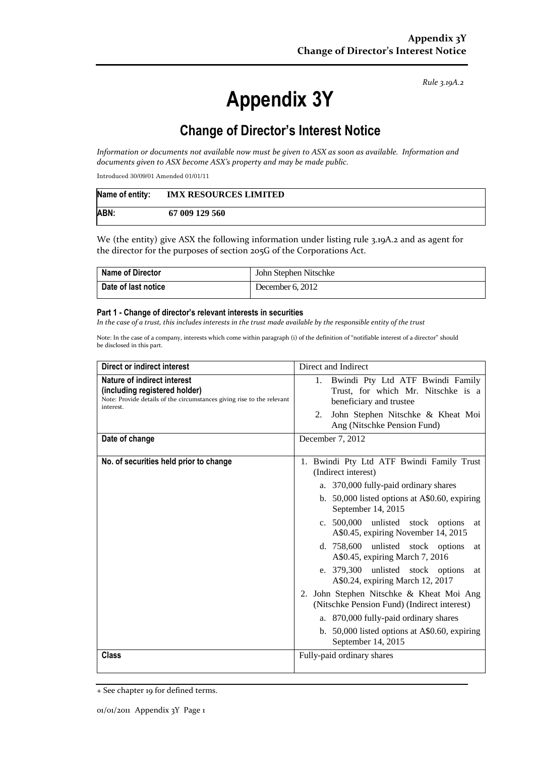*Rule 3.19A.2*

# **Appendix 3Y**

# **Change of Director's Interest Notice**

*Information or documents not available now must be given to ASX as soon as available. Information and documents given to ASX become ASX's property and may be made public.*

Introduced 30/09/01 Amended 01/01/11

| Name of entity: | <b>IMX RESOURCES LIMITED</b> |
|-----------------|------------------------------|
| ABN:            | 67 009 129 560               |

We (the entity) give ASX the following information under listing rule 3.19A.2 and as agent for the director for the purposes of section 205G of the Corporations Act.

| <b>Name of Director</b>    | John Stephen Nitschke |
|----------------------------|-----------------------|
| <b>Date of last notice</b> | December 6, 2012      |

#### **Part 1 - Change of director's relevant interests in securities**

*In the case of a trust, this includes interests in the trust made available by the responsible entity of the trust*

Note: In the case of a company, interests which come within paragraph (i) of the definition of "notifiable interest of a director" should be disclosed in this part.

| Direct or indirect interest                                                                                                                         | Direct and Indirect                                                                                                                                                                                                                                                                                                                                                                                                                                                                                                                                                                                                                          |  |
|-----------------------------------------------------------------------------------------------------------------------------------------------------|----------------------------------------------------------------------------------------------------------------------------------------------------------------------------------------------------------------------------------------------------------------------------------------------------------------------------------------------------------------------------------------------------------------------------------------------------------------------------------------------------------------------------------------------------------------------------------------------------------------------------------------------|--|
| Nature of indirect interest<br>(including registered holder)<br>Note: Provide details of the circumstances giving rise to the relevant<br>interest. | Bwindi Pty Ltd ATF Bwindi Family<br>1.<br>Trust, for which Mr. Nitschke is a<br>beneficiary and trustee<br>John Stephen Nitschke & Kheat Moi<br>2.<br>Ang (Nitschke Pension Fund)                                                                                                                                                                                                                                                                                                                                                                                                                                                            |  |
| Date of change                                                                                                                                      | December 7, 2012                                                                                                                                                                                                                                                                                                                                                                                                                                                                                                                                                                                                                             |  |
| No. of securities held prior to change                                                                                                              | 1. Bwindi Pty Ltd ATF Bwindi Family Trust<br>(Indirect interest)<br>a. 370,000 fully-paid ordinary shares<br>b. $50,000$ listed options at A\$0.60, expiring<br>September 14, 2015<br>c. 500,000 unlisted stock options<br>at<br>A\$0.45, expiring November 14, 2015<br>d. 758,600 unlisted stock options<br>at<br>A\$0.45, expiring March 7, 2016<br>e. 379,300 unlisted stock options<br>at<br>A\$0.24, expiring March 12, 2017<br>2. John Stephen Nitschke & Kheat Moi Ang<br>(Nitschke Pension Fund) (Indirect interest)<br>a. 870,000 fully-paid ordinary shares<br>b. 50,000 listed options at A\$0.60, expiring<br>September 14, 2015 |  |
| <b>Class</b>                                                                                                                                        | Fully-paid ordinary shares                                                                                                                                                                                                                                                                                                                                                                                                                                                                                                                                                                                                                   |  |

<sup>+</sup> See chapter 19 for defined terms.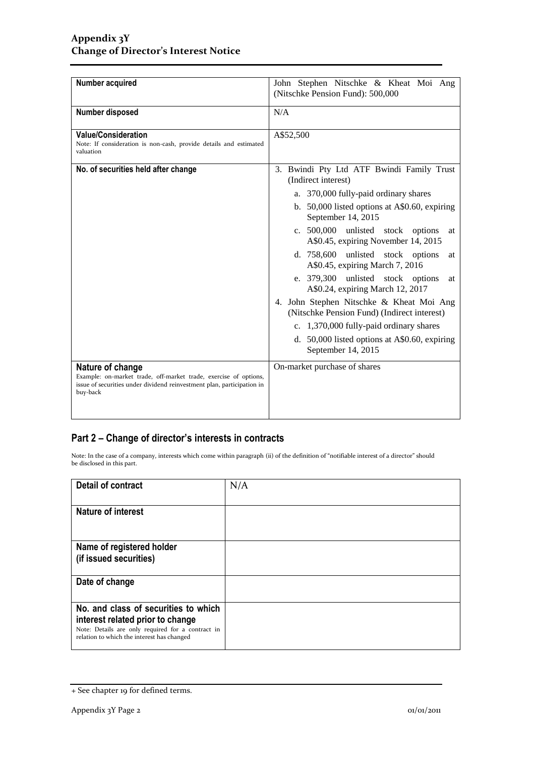| Number acquired                                                                                                                                                            | John Stephen Nitschke & Kheat Moi Ang<br>(Nitschke Pension Fund): 500,000                                                                                                                                                                                                                                                                                                                                                                                                                                                                                                                                                                    |  |
|----------------------------------------------------------------------------------------------------------------------------------------------------------------------------|----------------------------------------------------------------------------------------------------------------------------------------------------------------------------------------------------------------------------------------------------------------------------------------------------------------------------------------------------------------------------------------------------------------------------------------------------------------------------------------------------------------------------------------------------------------------------------------------------------------------------------------------|--|
| Number disposed                                                                                                                                                            | N/A                                                                                                                                                                                                                                                                                                                                                                                                                                                                                                                                                                                                                                          |  |
| <b>Value/Consideration</b><br>Note: If consideration is non-cash, provide details and estimated<br>valuation                                                               | A\$52,500                                                                                                                                                                                                                                                                                                                                                                                                                                                                                                                                                                                                                                    |  |
| No. of securities held after change                                                                                                                                        | 3. Bwindi Pty Ltd ATF Bwindi Family Trust<br>(Indirect interest)<br>a. 370,000 fully-paid ordinary shares<br>b. 50,000 listed options at A\$0.60, expiring<br>September 14, 2015<br>c. 500,000 unlisted stock options<br>at<br>A\$0.45, expiring November 14, 2015<br>d. 758,600 unlisted stock options<br>at<br>A\$0.45, expiring March 7, 2016<br>e. 379,300 unlisted stock options<br>at<br>A\$0.24, expiring March 12, 2017<br>4. John Stephen Nitschke & Kheat Moi Ang<br>(Nitschke Pension Fund) (Indirect interest)<br>c. 1,370,000 fully-paid ordinary shares<br>d. 50,000 listed options at A\$0.60, expiring<br>September 14, 2015 |  |
| Nature of change<br>Example: on-market trade, off-market trade, exercise of options,<br>issue of securities under dividend reinvestment plan, participation in<br>buy-back | On-market purchase of shares                                                                                                                                                                                                                                                                                                                                                                                                                                                                                                                                                                                                                 |  |

### **Part 2 – Change of director's interests in contracts**

Note: In the case of a company, interests which come within paragraph (ii) of the definition of "notifiable interest of a director" should be disclosed in this part.

| <b>Detail of contract</b>                                                                                                                       | N/A |
|-------------------------------------------------------------------------------------------------------------------------------------------------|-----|
|                                                                                                                                                 |     |
| <b>Nature of interest</b>                                                                                                                       |     |
|                                                                                                                                                 |     |
| Name of registered holder                                                                                                                       |     |
| (if issued securities)                                                                                                                          |     |
|                                                                                                                                                 |     |
|                                                                                                                                                 |     |
|                                                                                                                                                 |     |
|                                                                                                                                                 |     |
|                                                                                                                                                 |     |
| relation to which the interest has changed                                                                                                      |     |
| Date of change<br>No. and class of securities to which<br>interest related prior to change<br>Note: Details are only required for a contract in |     |

<sup>+</sup> See chapter 19 for defined terms.